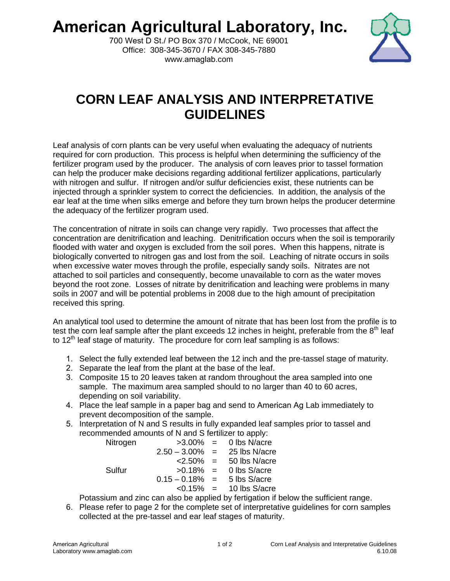**American Agricultural Laboratory, Inc.** 



700 West D St./ PO Box 370 / McCook, NE 69001 Office: 308-345-3670 / FAX 308-345-7880 www.amaglab.com

## **CORN LEAF ANALYSIS AND INTERPRETATIVE GUIDELINES**

Leaf analysis of corn plants can be very useful when evaluating the adequacy of nutrients required for corn production. This process is helpful when determining the sufficiency of the fertilizer program used by the producer. The analysis of corn leaves prior to tassel formation can help the producer make decisions regarding additional fertilizer applications, particularly with nitrogen and sulfur. If nitrogen and/or sulfur deficiencies exist, these nutrients can be injected through a sprinkler system to correct the deficiencies. In addition, the analysis of the ear leaf at the time when silks emerge and before they turn brown helps the producer determine the adequacy of the fertilizer program used.

The concentration of nitrate in soils can change very rapidly. Two processes that affect the concentration are denitrification and leaching. Denitrification occurs when the soil is temporarily flooded with water and oxygen is excluded from the soil pores. When this happens, nitrate is biologically converted to nitrogen gas and lost from the soil. Leaching of nitrate occurs in soils when excessive water moves through the profile, especially sandy soils. Nitrates are not attached to soil particles and consequently, become unavailable to corn as the water moves beyond the root zone. Losses of nitrate by denitrification and leaching were problems in many soils in 2007 and will be potential problems in 2008 due to the high amount of precipitation received this spring.

An analytical tool used to determine the amount of nitrate that has been lost from the profile is to test the corn leaf sample after the plant exceeds 12 inches in height, preferable from the 8<sup>th</sup> leaf to 12<sup>th</sup> leaf stage of maturity. The procedure for corn leaf sampling is as follows:

- 1. Select the fully extended leaf between the 12 inch and the pre-tassel stage of maturity.
- 2. Separate the leaf from the plant at the base of the leaf.
- 3. Composite 15 to 20 leaves taken at random throughout the area sampled into one sample. The maximum area sampled should to no larger than 40 to 60 acres, depending on soil variability.
- 4. Place the leaf sample in a paper bag and send to American Ag Lab immediately to prevent decomposition of the sample.
- 5. Interpretation of N and S results in fully expanded leaf samples prior to tassel and recommended amounts of N and S fertilizer to apply:

| Nitrogen | $>3.00\% =$                |     | 0 lbs N/acre  |
|----------|----------------------------|-----|---------------|
|          | $2.50 - 3.00\%$            | $=$ | 25 lbs N/acre |
|          | $< 2.50\% =$               |     | 50 lbs N/acre |
| Sulfur   | $>0.18\% =$                |     | 0 lbs S/acre  |
|          | $0.15 - 0.18\%$            | $=$ | 5 lbs S/acre  |
|          | $\langle 0.15\% \rangle =$ |     | 10 lbs S/acre |

Potassium and zinc can also be applied by fertigation if below the sufficient range.

6. Please refer to page 2 for the complete set of interpretative guidelines for corn samples collected at the pre-tassel and ear leaf stages of maturity.